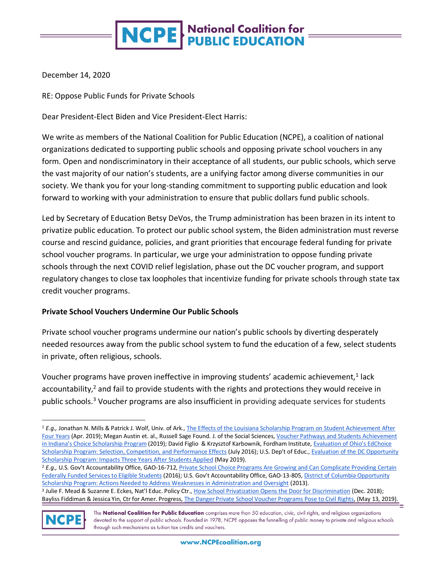# **NCPE** National Coalition for

December 14, 2020

RE: Oppose Public Funds for Private Schools

Dear President-Elect Biden and Vice President-Elect Harris:

We write as members of the National Coalition for Public Education (NCPE), a coalition of national organizations dedicated to supporting public schools and opposing private school vouchers in any form. Open and nondiscriminatory in their acceptance of all students, our public schools, which serve the vast majority of our nation's students, are a unifying factor among diverse communities in our society. We thank you for your long-standing commitment to supporting public education and look forward to working with your administration to ensure that public dollars fund public schools.

Led by Secretary of Education Betsy DeVos, the Trump administration has been brazen in its intent to privatize public education. To protect our public school system, the Biden administration must reverse course and rescind guidance, policies, and grant priorities that encourage federal funding for private school voucher programs. In particular, we urge your administration to oppose funding private schools through the next COVID relief legislation, phase out the DC voucher program, and support regulatory changes to close tax loopholes that incentivize funding for private schools through state tax credit voucher programs.

#### **Private School Vouchers Undermine Our Public Schools**

Private school voucher programs undermine our nation's public schools by diverting desperately needed resources away from the public school system to fund the education of a few, select students in private, often religious, schools.

Voucher programs have proven ineffective in improving students' academic achievement,<sup>1</sup> lack accountability,<sup>2</sup> and fail to provide students with the rights and protections they would receive in public schools.<sup>3</sup> Voucher programs are also insufficient in providing adequate services for students

<sup>&</sup>lt;sup>3</sup> Julie F. Mead & Suzanne E. Eckes[,](https://nepc.colorado.edu/publication/privatization) Nat'l Educ. Policy Ctr., <u>[How School Privatization Opens the Door for Discrimination](https://nepc.colorado.edu/publication/privatization)</u> (Dec. 2018); Bayliss Fiddiman & Jessica Yin[,](https://cdn.americanprogress.org/content/uploads/2019/05/10124230/Vouchers-and-Civil-Rights2.pdf) Ctr for Amer. Progress, [The Danger Private School Voucher Programs Pose to Civil Rights,](https://cdn.americanprogress.org/content/uploads/2019/05/10124230/Vouchers-and-Civil-Rights2.pdf) (May 13, 2019).



The National Coalition for Public Education comprises more than 50 education, civic, civil rights, and religious organizations devoted to the support of public schools. Founded in 1978, NCPE opposes the funnelling of public money to private and religious schools through such mechanisms as tuition tax credits and vouchers.

<sup>1</sup> *E.g.,* Jonathan N. Mills & Patrick J. Wolf, Univ. of Ark[.,](http://www.uaedreform.org/wp-content/uploads/Mills-Wolf-LSP-Achievement-After-4-Years-final.pdf) [The Effects of the Louisiana Scholarship Program on Student Achievement After](http://www.uaedreform.org/wp-content/uploads/Mills-Wolf-LSP-Achievement-After-4-Years-final.pdf)  [Four Years](http://www.uaedreform.org/wp-content/uploads/Mills-Wolf-LSP-Achievement-After-4-Years-final.pdf) (Apr. 2019); Megan Austin et. al., Russell Sage Found. J. of the Social Science[s,](https://www.rsfjournal.org/content/rsfjss/5/3/20.full.pdf) Voucher Pathways and Students Achievement [in Indiana's Choice Scholarship](https://www.rsfjournal.org/content/rsfjss/5/3/20.full.pdf) Program (2019); David Figlio & Krzysztof Karbownik, Fordham Institut[e,](https://edex.s3-us-west-2.amazonaws.com/publication/pdfs/FORDHAM%20Ed%20Choice%20Evaluation%20Report_online%20edition.pdf) Evaluation of Ohio's EdChoice [Scholarship Program: Selection, Competition, and Performance Effects](https://edex.s3-us-west-2.amazonaws.com/publication/pdfs/FORDHAM%20Ed%20Choice%20Evaluation%20Report_online%20edition.pdf) (July 2016); U.S. Dep't of Educ[.,](https://ies.ed.gov/ncee/pubs/20194006/pdf/20194006.pdf) Evaluation of the DC Opportunity [Scholarship Program: Impacts Three Years After Students Applied](https://ies.ed.gov/ncee/pubs/20194006/pdf/20194006.pdf) (May 2019).

<sup>&</sup>lt;sup>2</sup> E.g., U.S. Gov't Accountability Office, GAO-16-71[2,](https://www.gao.gov/products/gao-16-712) Private School Choice Programs Are Growing and Can Complicate Providing Certain [Federally Funded Services to](https://www.gao.gov/products/gao-16-712) Eligible Students (2016); U.S. Gov't Accountability Office, GAO-13-80[5,](https://www.gao.gov/products/GAO-13-805) [District of Columbia Opportunity](https://www.gao.gov/products/GAO-13-805)  [Scholarship Program: Actions Needed to Address Weaknesses in Administration and Oversight](https://www.gao.gov/products/GAO-13-805) (2013).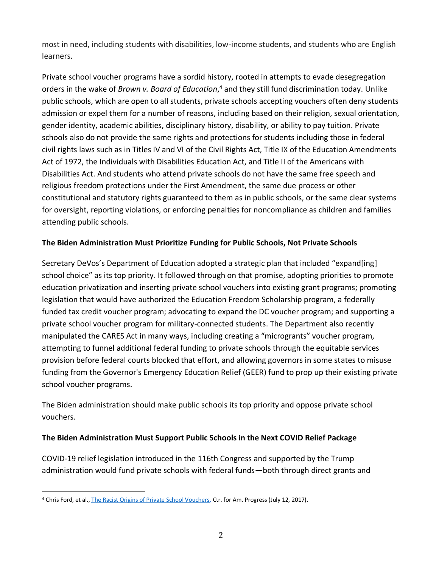most in need, including students with disabilities, low-income students, and students who are English learners.

Private school voucher programs have a sordid history, rooted in attempts to evade desegregation orders in the wake of *Brown v. Board of Education*, <sup>4</sup> and they still fund discrimination today. Unlike public schools, which are open to all students, private schools accepting vouchers often deny students admission or expel them for a number of reasons, including based on their religion, sexual orientation, gender identity, academic abilities, disciplinary history, disability, or ability to pay tuition. Private schools also do not provide the same rights and protections for students including those in federal civil rights laws such as in Titles IV and VI of the Civil Rights Act, Title IX of the Education Amendments Act of 1972, the Individuals with Disabilities Education Act, and Title II of the Americans with Disabilities Act. And students who attend private schools do not have the same free speech and religious freedom protections under the First Amendment, the same due process or other constitutional and statutory rights guaranteed to them as in public schools, or the same clear systems for oversight, reporting violations, or enforcing penalties for noncompliance as children and families attending public schools.

## **The Biden Administration Must Prioritize Funding for Public Schools, Not Private Schools**

Secretary DeVos's Department of Education adopted a strategic plan that included "expand[ing] school choice" as its top priority. It followed through on that promise, adopting priorities to promote education privatization and inserting private school vouchers into existing grant programs; promoting legislation that would have authorized the Education Freedom Scholarship program, a federally funded tax credit voucher program; advocating to expand the DC voucher program; and supporting a private school voucher program for military-connected students. The Department also recently manipulated the CARES Act in many ways, including creating a "microgrants" voucher program, attempting to funnel additional federal funding to private schools through the equitable services provision before federal courts blocked that effort, and allowing governors in some states to misuse funding from the Governor's Emergency Education Relief (GEER) fund to prop up their existing private school voucher programs.

The Biden administration should make public schools its top priority and oppose private school vouchers.

## **The Biden Administration Must Support Public Schools in the Next COVID Relief Package**

COVID-19 relief legislation introduced in the 116th Congress and supported by the Trump administration would fund private schools with federal funds—both through direct grants and

<sup>4</sup> Chris Ford, et al[.,](https://www.americanprogress.org/issues/education-k-12/reports/2017/07/12/435629/racist-origins-private-school-vouchers/) [The Racist Origins of Private School Vouchers,](https://www.americanprogress.org/issues/education-k-12/reports/2017/07/12/435629/racist-origins-private-school-vouchers/) Ctr. for Am. Progress (July 12, 2017).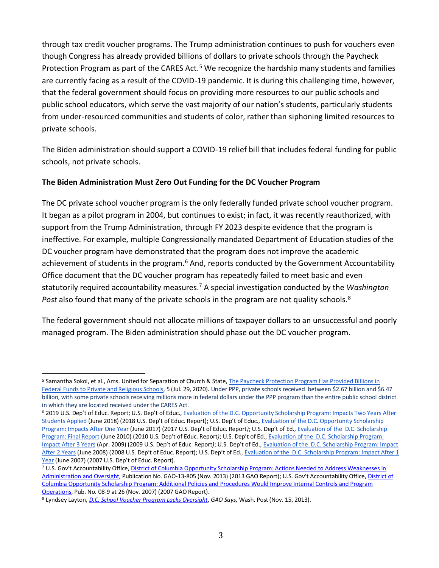through tax credit voucher programs. The Trump administration continues to push for vouchers even though Congress has already provided billions of dollars to private schools through the Paycheck Protection Program as part of the CARES Act.<sup>5</sup> We recognize the hardship many students and families are currently facing as a result of the COVID-19 pandemic. It is during this challenging time, however, that the federal government should focus on providing more resources to our public schools and public school educators, which serve the vast majority of our nation's students, particularly students from under-resourced communities and students of color, rather than siphoning limited resources to private schools.

The Biden administration should support a COVID-19 relief bill that includes federal funding for public schools, not private schools.

#### **The Biden Administration Must Zero Out Funding for the DC Voucher Program**

The DC private school voucher program is the only federally funded private school voucher program. It began as a pilot program in 2004, but continues to exist; in fact, it was recently reauthorized, with support from the Trump Administration, through FY 2023 despite evidence that the program is ineffective. For example, multiple Congressionally mandated Department of Education studies of the DC voucher program have demonstrated that the program does not improve the academic achievement of students in the program.<sup>6</sup> And, reports conducted by the Government Accountability Office document that the DC voucher program has repeatedly failed to meet basic and even statutorily required accountability measures.<sup>7</sup> A special investigation conducted by the *Washington*  Post also found that many of the private schools in the program are not quality schools.<sup>8</sup>

The federal government should not allocate millions of taxpayer dollars to an unsuccessful and poorly managed program. The Biden administration should phase out the DC voucher program.

<sup>5</sup> Samantha Sokol, et al., Ams. United for Separation of Church & State, The Paycheck Protection Program Has Provided Billions in [Federal Funds to Private and Religious Schools,](https://www.au.org/sites/default/files/2020-07/PPP%20COVID%20Relief%20Money%20for%20Private%20Schools%207.29.20_0.pdf) 5 (Jul. 29, 2020). Under PPP, private schools received between \$2.67 billion and \$6.47 billion, with some private schools receiving millions more in federal dollars under the PPP program than the entire public school district in which they are located received under the CARES Act.

<sup>6</sup> 2019 U.S. Dep't of Educ. Report; U.S. Dep't of Educ[.,](https://ies.ed.gov/ncee/pubs/20184010/pdf/20184010.pdf) [Evaluation of the D.C. Opportunity Scholarship Program: Impacts Two Years After](https://ies.ed.gov/ncee/pubs/20184010/pdf/20184010.pdf)  [Students](https://ies.ed.gov/ncee/pubs/20184010/pdf/20184010.pdf) Applied (June 2018) (2018 U.S. Dep't of Educ. Report); U.S. Dep't of Educ.[,](https://ies.ed.gov/ncee/pubs/20174022/pdf/20174022.pdf) [Evaluation of the D.C. Opportunity Scholarship](https://ies.ed.gov/ncee/pubs/20174022/pdf/20174022.pdf)  [Program: Impacts After One Year](https://ies.ed.gov/ncee/pubs/20174022/pdf/20174022.pdf) (June 2017) (2017 U.S. Dep't of Educ. Report*)*; U.S. Dep't of Ed.[,](https://ies.ed.gov/ncee/pubs/20104018/pdf/20104018.pdf) [Evaluation of the D.C. Scholarship](https://ies.ed.gov/ncee/pubs/20104018/pdf/20104018.pdf)  [Program: Final Report](https://ies.ed.gov/ncee/pubs/20104018/pdf/20104018.pdf) (June 2010) (2010 U.S. Dep't of Educ. Report*)*; U.S. Dep't of Ed[.,](https://ies.ed.gov/ncee/pubs/20094050/pdf/20094050.pdf) [Evaluation of the D.C. Scholarship Program:](https://ies.ed.gov/ncee/pubs/20094050/pdf/20094050.pdf)  [Impact After 3 Years](https://ies.ed.gov/ncee/pubs/20094050/pdf/20094050.pdf) (Apr. 2009) (2009 U.S. Dep't of Educ. Report*)*; U.S. Dep't of Ed[.,](https://ies.ed.gov/ncee/pdf/20084023.pdf) [Evaluation of the D.C. Scholarship Program: Impact](https://ies.ed.gov/ncee/pdf/20084023.pdf)  [After 2 Years](https://ies.ed.gov/ncee/pdf/20084023.pdf) (June 2008) (2008 U.S. Dep't of Educ. Report); U.S. Dep't of Ed.[,](https://ies.ed.gov/ncee/pdf/20074009.pdf) [Evaluation of the D.C. Scholarship Program: Impact After 1](https://ies.ed.gov/ncee/pdf/20074009.pdf)  [Year](https://ies.ed.gov/ncee/pdf/20074009.pdf) (June 2007) (2007 U.S. Dep't of Educ. Report).

<sup>7</sup> U.S. Gov't Accountability Office[, District of Columbia Opportunity Scholarship Program: Actions Needed to Address Weaknesses in](http://www.gao.gov/assets/660/658416.pdf)  [Administration and Oversight,](http://www.gao.gov/assets/660/658416.pdf) Publication No. GAO-13-805 (Nov. 2013) (2013 GAO Report); U.S. Gov't Accountability Office, [District of](http://www.gao.gov/new.items/d089.pdf)  [Columbia Opportunity Scholarship Program: Additional Policies and Procedures Would Improve Internal Controls and Program](http://www.gao.gov/new.items/d089.pdf)  [Operations,](http://www.gao.gov/new.items/d089.pdf) Pub. No. 08-9 at 26 (Nov. 2007) (2007 GAO Report).

<sup>8</sup> Lyndsey Layton, *[D.C. School Voucher Program Lacks Oversight](http://www.washingtonpost.com/local/education/D.C.-school-voucher-program-lacks-oversight-gao-says/2013/11/15/9bb8c35e-4e3d-11e3-be6b-d3d28122e6d4_story.html)*, *GAO Says,* Wash. Post (Nov. 15, 2013).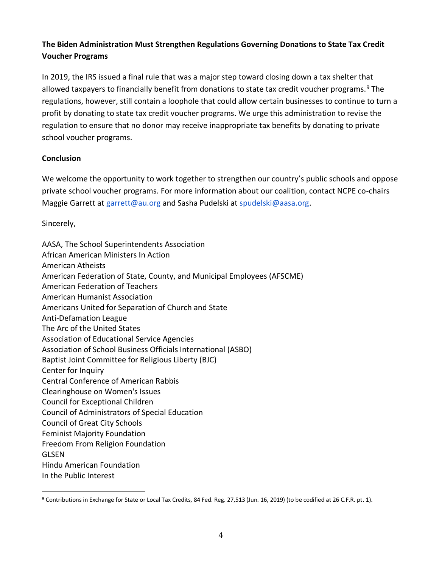## **The Biden Administration Must Strengthen Regulations Governing Donations to State Tax Credit Voucher Programs**

In 2019, the IRS issued a final rule that was a major step toward closing down a tax shelter that allowed taxpayers to financially benefit from donations to state tax credit voucher programs.<sup>9</sup> The regulations, however, still contain a loophole that could allow certain businesses to continue to turn a profit by donating to state tax credit voucher programs. We urge this administration to revise the regulation to ensure that no donor may receive inappropriate tax benefits by donating to private school voucher programs.

#### **Conclusion**

We welcome the opportunity to work together to strengthen our country's public schools and oppose private school voucher programs. For more information about our coalition, contact NCPE co-chairs Maggie Garrett at [garrett@au.org](mailto:garrett@au.org) and Sasha Pudelski at [spudelski@aasa.org.](mailto:spudelski@aasa.org)

Sincerely,

| AASA, The School Superintendents Association                           |
|------------------------------------------------------------------------|
| African American Ministers In Action                                   |
| American Atheists                                                      |
| American Federation of State, County, and Municipal Employees (AFSCME) |
| <b>American Federation of Teachers</b>                                 |
| <b>American Humanist Association</b>                                   |
| Americans United for Separation of Church and State                    |
| <b>Anti-Defamation League</b>                                          |
| The Arc of the United States                                           |
| <b>Association of Educational Service Agencies</b>                     |
| Association of School Business Officials International (ASBO)          |
| Baptist Joint Committee for Religious Liberty (BJC)                    |
| Center for Inquiry                                                     |
| <b>Central Conference of American Rabbis</b>                           |
| Clearinghouse on Women's Issues                                        |
| Council for Exceptional Children                                       |
| Council of Administrators of Special Education                         |
| <b>Council of Great City Schools</b>                                   |
| <b>Feminist Majority Foundation</b>                                    |
| Freedom From Religion Foundation                                       |
| GLSEN                                                                  |
| <b>Hindu American Foundation</b>                                       |
| In the Public Interest                                                 |

<sup>9</sup> Contributions in Exchange for State or Local Tax Credits, 84 Fed. Reg. 27,513 (Jun. 16, 2019) (to be codified at 26 C.F.R. pt. 1).